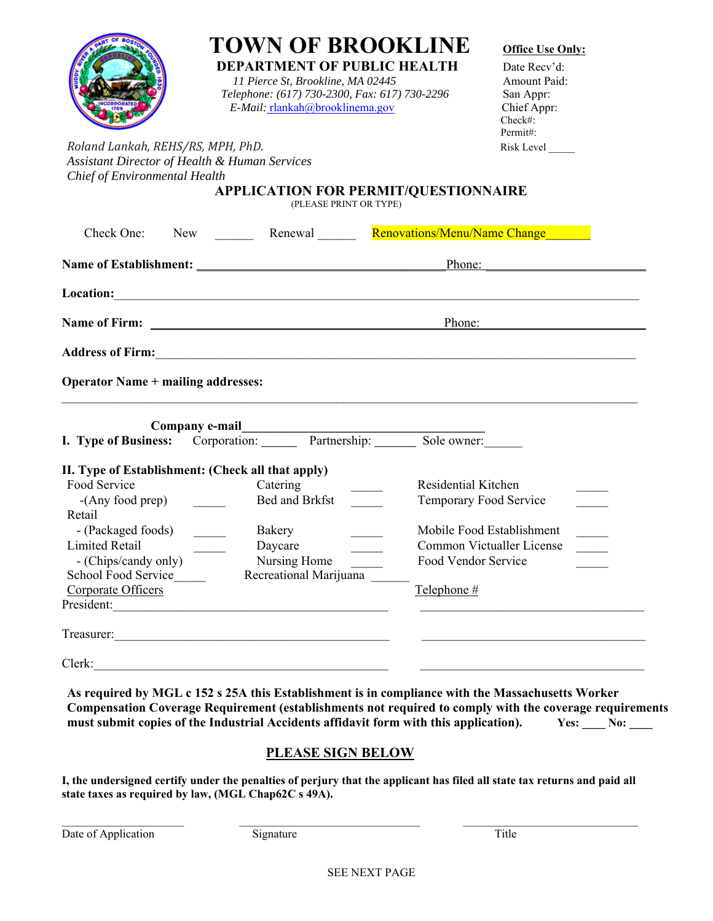|                                                                                                                                | <b>DEPARTMENT OF PUBLIC HEALTH</b><br>11 Pierce St, Brookline, MA 02445<br>Telephone: (617) 730-2300, Fax: 617) 730-2296<br>E-Mail: rlankah@brooklinema.gov | <b>TOWN OF BROOKLINE</b> | <b>Office Use Only:</b><br>Date Recv'd:<br>Amount Paid:<br>San Appr:<br>Chief Appr:<br>Check#: |
|--------------------------------------------------------------------------------------------------------------------------------|-------------------------------------------------------------------------------------------------------------------------------------------------------------|--------------------------|------------------------------------------------------------------------------------------------|
| Roland Lankah, REHS/RS, MPH, PhD.<br><b>Assistant Director of Health &amp; Human Services</b><br>Chief of Environmental Health | <b>APPLICATION FOR PERMIT/QUESTIONNAIRE</b><br>(PLEASE PRINT OR TYPE)                                                                                       |                          | Permit#:<br>Risk Level                                                                         |
| Check One:                                                                                                                     | New <b>Example 2</b> Renewal Renovations/Menu/Name Change                                                                                                   |                          |                                                                                                |
|                                                                                                                                |                                                                                                                                                             |                          |                                                                                                |
|                                                                                                                                |                                                                                                                                                             |                          |                                                                                                |
|                                                                                                                                |                                                                                                                                                             |                          | Phone:                                                                                         |
|                                                                                                                                |                                                                                                                                                             |                          |                                                                                                |
| <b>Operator Name + mailing addresses:</b>                                                                                      |                                                                                                                                                             |                          |                                                                                                |
|                                                                                                                                |                                                                                                                                                             |                          |                                                                                                |
|                                                                                                                                |                                                                                                                                                             |                          |                                                                                                |
| Company e-mail                                                                                                                 | Company e-mail<br>I. Type of Business: Corporation: Partnership: Sole owner:                                                                                |                          |                                                                                                |
| II. Type of Establishment: (Check all that apply)                                                                              |                                                                                                                                                             |                          |                                                                                                |
| Food Service                                                                                                                   | Catering                                                                                                                                                    | Residential Kitchen      |                                                                                                |
| $-(Any food prep)$                                                                                                             | Bed and Brkfst                                                                                                                                              | Temporary Food Service   |                                                                                                |
| Retail                                                                                                                         |                                                                                                                                                             |                          |                                                                                                |
| - (Packaged foods)                                                                                                             | Bakery                                                                                                                                                      |                          | Mobile Food Establishment                                                                      |
| <b>Limited Retail</b>                                                                                                          | Daycare                                                                                                                                                     |                          | Common Victualler License                                                                      |
| - (Chips/candy only)                                                                                                           | Nursing Home                                                                                                                                                | Food Vendor Service      |                                                                                                |
| School Food Service<br>Corporate Officers                                                                                      | Recreational Marijuana                                                                                                                                      | Telephone #              |                                                                                                |
| President:                                                                                                                     |                                                                                                                                                             |                          |                                                                                                |
|                                                                                                                                |                                                                                                                                                             |                          |                                                                                                |

**Compensation Coverage Requirement (establishments not required to comply with the coverage requirements**  must submit copies of the Industrial Accidents affidavit form with this application). Yes: No:

## **PLEASE SIGN BELOW**

**I, the undersigned certify under the penalties of perjury that the applicant has filed all state tax returns and paid all state taxes as required by law, (MGL Chap62C s 49A).** 

 $\mathcal{L}_\text{max}$ 

Date of Application Signature Title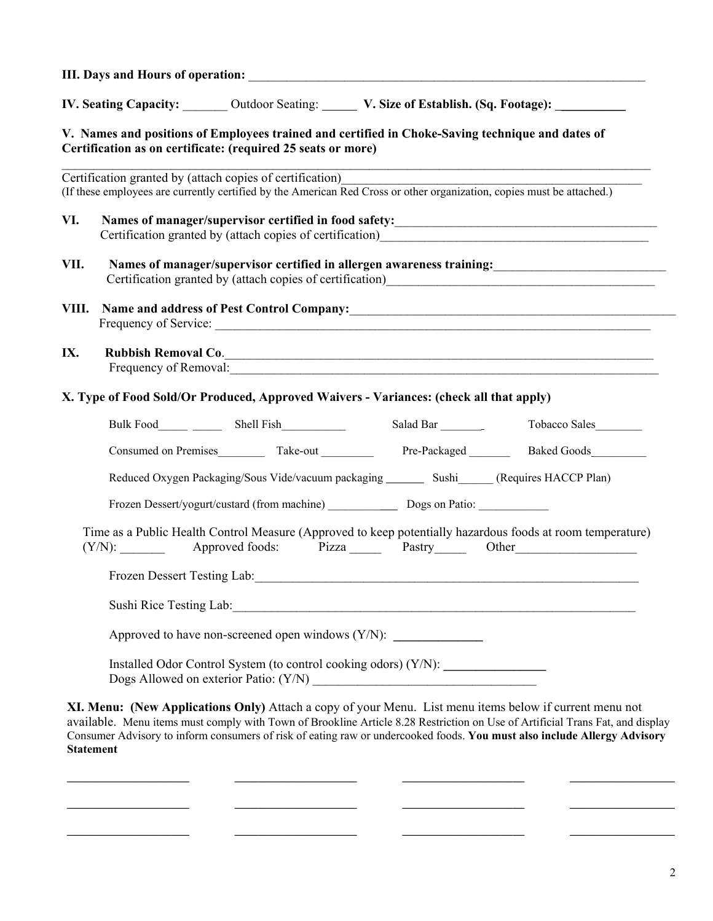| <b>III. Days and Hours of operation:</b> |  |
|------------------------------------------|--|
|                                          |  |

**IV.** Seating Capacity:  $\qquad \qquad$  Outdoor Seating:  $\qquad \qquad$  V. Size of Establish. (Sq. Footage):  $\qquad \qquad$ 

## **V. Names and positions of Employees trained and certified in Choke-Saving technique and dates of Certification as on certificate: (required 25 seats or more)**

|       |        | Certification granted by (attach copies of certification)                              |  | (If these employees are currently certified by the American Red Cross or other organization, copies must be attached.)                                                                                                         |
|-------|--------|----------------------------------------------------------------------------------------|--|--------------------------------------------------------------------------------------------------------------------------------------------------------------------------------------------------------------------------------|
| VI.   |        |                                                                                        |  |                                                                                                                                                                                                                                |
| VII.  |        |                                                                                        |  |                                                                                                                                                                                                                                |
| VIII. |        |                                                                                        |  | Name and address of Pest Control Company: Manual Company and Address of Pest Control Company:                                                                                                                                  |
| IX.   |        |                                                                                        |  | Rubbish Removal Co.<br>Frequency of Removal:                                                                                                                                                                                   |
|       |        | X. Type of Food Sold/Or Produced, Approved Waivers - Variances: (check all that apply) |  |                                                                                                                                                                                                                                |
|       |        |                                                                                        |  |                                                                                                                                                                                                                                |
|       |        |                                                                                        |  |                                                                                                                                                                                                                                |
|       |        |                                                                                        |  | Reduced Oxygen Packaging/Sous Vide/vacuum packaging _________ Sushi (Requires HACCP Plan)                                                                                                                                      |
|       |        | Frozen Dessert/yogurt/custard (from machine) Dogs on Patio:                            |  |                                                                                                                                                                                                                                |
|       | (Y/N): |                                                                                        |  | Time as a Public Health Control Measure (Approved to keep potentially hazardous foods at room temperature)<br>Approved foods: Pizza Pastry Other                                                                               |
|       |        |                                                                                        |  | Frozen Dessert Testing Lab: 1990 and 200 and 200 and 200 and 200 and 200 and 200 and 200 and 200 and 200 and 200 and 200 and 200 and 200 and 200 and 200 and 200 and 200 and 200 and 200 and 200 and 200 and 200 and 200 and 2 |
|       |        |                                                                                        |  |                                                                                                                                                                                                                                |
|       |        | Approved to have non-screened open windows $(Y/N)$ :                                   |  |                                                                                                                                                                                                                                |
|       |        | Installed Odor Control System (to control cooking odors) (Y/N):                        |  |                                                                                                                                                                                                                                |

**XI. Menu: (New Applications Only)** Attach a copy of your Menu. List menu items below if current menu not available. Menu items must comply with Town of Brookline Article 8.28 Restriction on Use of Artificial Trans Fat, and display Consumer Advisory to inform consumers of risk of eating raw or undercooked foods. **You must also include Allergy Advisory Statement**

**\_\_\_\_\_\_\_\_\_\_\_\_\_\_\_\_\_\_\_\_\_ \_\_\_\_\_\_\_\_\_\_\_\_\_\_\_\_\_\_\_\_\_ \_\_\_\_\_\_\_\_\_\_\_\_\_\_\_\_\_\_\_\_\_ \_\_\_\_\_\_\_\_\_\_\_\_\_\_\_\_\_\_** 

**\_\_\_\_\_\_\_\_\_\_\_\_\_\_\_\_\_\_\_\_\_ \_\_\_\_\_\_\_\_\_\_\_\_\_\_\_\_\_\_\_\_\_ \_\_\_\_\_\_\_\_\_\_\_\_\_\_\_\_\_\_\_\_\_ \_\_\_\_\_\_\_\_\_\_\_\_\_\_\_\_\_\_**